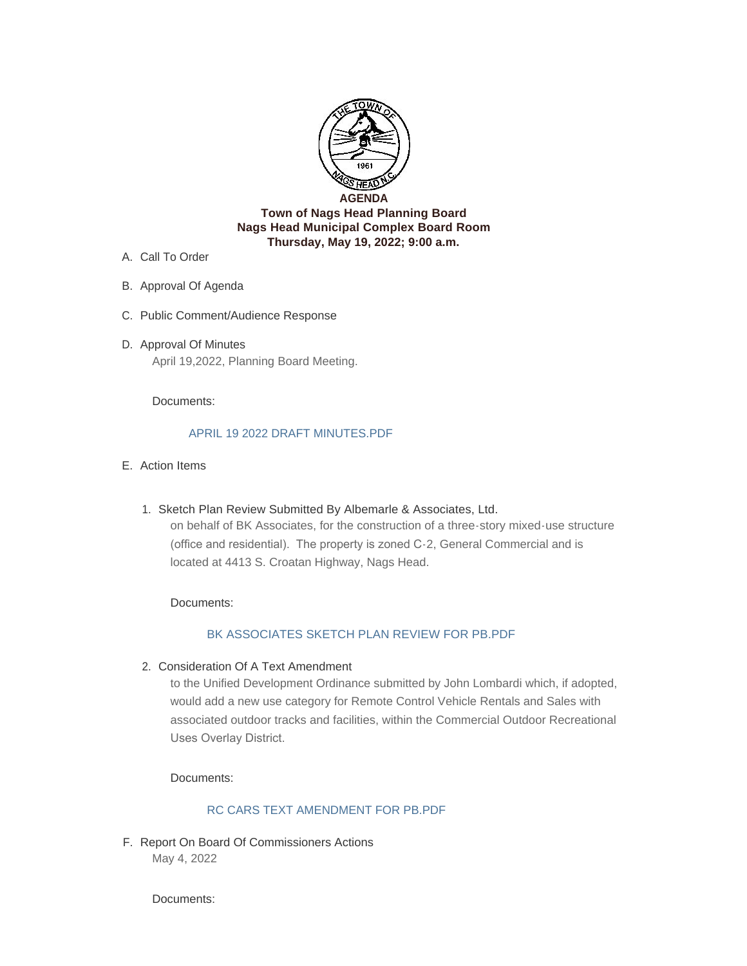

- A. Call To Order
- B. Approval Of Agenda
- C. Public Comment/Audience Response
- D. Approval Of Minutes April 19,2022, Planning Board Meeting.

#### Documents:

#### [APRIL 19 2022 DRAFT MINUTES.PDF](http://nagsheadnc.gov/AgendaCenter/ViewFile/Item/4097?fileID=6414)

- Action Items E.
	- Sketch Plan Review Submitted By Albemarle & Associates, Ltd. 1. on behalf of BK Associates, for the construction of a three-story mixed-use structure (office and residential). The property is zoned C-2, General Commercial and is located at 4413 S. Croatan Highway, Nags Head.

Documents:

### [BK ASSOCIATES SKETCH PLAN REVIEW FOR PB.PDF](http://nagsheadnc.gov/AgendaCenter/ViewFile/Item/4093?fileID=6416)

2. Consideration Of A Text Amendment

to the Unified Development Ordinance submitted by John Lombardi which, if adopted, would add a new use category for Remote Control Vehicle Rentals and Sales with associated outdoor tracks and facilities, within the Commercial Outdoor Recreational Uses Overlay District.

Documents:

### [RC CARS TEXT AMENDMENT FOR PB.PDF](http://nagsheadnc.gov/AgendaCenter/ViewFile/Item/4094?fileID=6420)

F. Report On Board Of Commissioners Actions May 4, 2022

Documents: